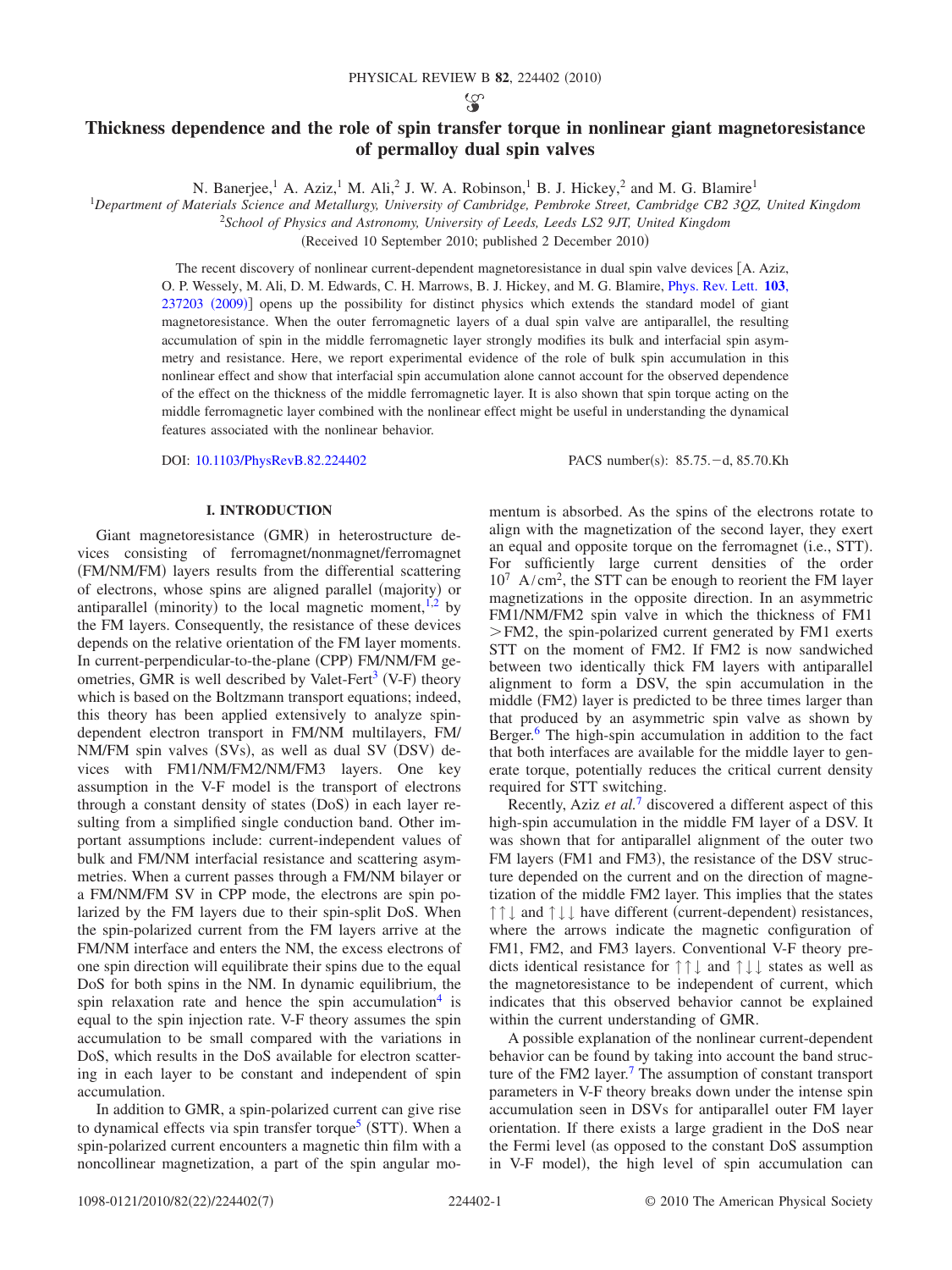ပ္သာ

# **Thickness dependence and the role of spin transfer torque in nonlinear giant magnetoresistance of permalloy dual spin valves**

N. Baneriee,<sup>1</sup> A. Aziz,<sup>1</sup> M. Ali,<sup>2</sup> J. W. A. Robinson,<sup>1</sup> B. J. Hickey,<sup>2</sup> and M. G. Blamire<sup>1</sup>

1 *Department of Materials Science and Metallurgy, University of Cambridge, Pembroke Street, Cambridge CB2 3QZ, United Kingdom*

2 *School of Physics and Astronomy, University of Leeds, Leeds LS2 9JT, United Kingdom*

Received 10 September 2010; published 2 December 2010-

The recent discovery of nonlinear current-dependent magnetoresistance in dual spin valve devices [A. Aziz, O. P. Wessely, M. Ali, D. M. Edwards, C. H. Marrows, B. J. Hickey, and M. G. Blamire, [Phys. Rev. Lett.](http://dx.doi.org/10.1103/PhysRevLett.103.237203) **103**, [237203](http://dx.doi.org/10.1103/PhysRevLett.103.237203) (2009)] opens up the possibility for distinct physics which extends the standard model of giant magnetoresistance. When the outer ferromagnetic layers of a dual spin valve are antiparallel, the resulting accumulation of spin in the middle ferromagnetic layer strongly modifies its bulk and interfacial spin asymmetry and resistance. Here, we report experimental evidence of the role of bulk spin accumulation in this nonlinear effect and show that interfacial spin accumulation alone cannot account for the observed dependence of the effect on the thickness of the middle ferromagnetic layer. It is also shown that spin torque acting on the middle ferromagnetic layer combined with the nonlinear effect might be useful in understanding the dynamical features associated with the nonlinear behavior.

DOI: [10.1103/PhysRevB.82.224402](http://dx.doi.org/10.1103/PhysRevB.82.224402)

PACS number(s):  $85.75 - d$ ,  $85.70$ .Kh

## **I. INTRODUCTION**

Giant magnetoresistance (GMR) in heterostructure devices consisting of ferromagnet/nonmagnet/ferromagnet (FM/NM/FM) layers results from the differential scattering of electrons, whose spins are aligned parallel (majority) or antiparallel (minority) to the local magnetic moment,<sup>1[,2](#page-6-1)</sup> by the FM layers. Consequently, the resistance of these devices depends on the relative orientation of the FM layer moments. In current-perpendicular-to-the-plane (CPP) FM/NM/FM geometries, GMR is well described by Valet-Fert<sup>3</sup> (V-F) theory which is based on the Boltzmann transport equations; indeed, this theory has been applied extensively to analyze spindependent electron transport in FM/NM multilayers, FM/ NM/FM spin valves (SVs), as well as dual SV (DSV) devices with FM1/NM/FM2/NM/FM3 layers. One key assumption in the V-F model is the transport of electrons through a constant density of states (DoS) in each layer resulting from a simplified single conduction band. Other important assumptions include: current-independent values of bulk and FM/NM interfacial resistance and scattering asymmetries. When a current passes through a FM/NM bilayer or a FM/NM/FM SV in CPP mode, the electrons are spin polarized by the FM layers due to their spin-split DoS. When the spin-polarized current from the FM layers arrive at the FM/NM interface and enters the NM, the excess electrons of one spin direction will equilibrate their spins due to the equal DoS for both spins in the NM. In dynamic equilibrium, the spin relaxation rate and hence the spin accumulation<sup>4</sup> is equal to the spin injection rate. V-F theory assumes the spin accumulation to be small compared with the variations in DoS, which results in the DoS available for electron scattering in each layer to be constant and independent of spin accumulation.

In addition to GMR, a spin-polarized current can give rise to dynamical effects via spin transfer torque<sup>5</sup> (STT). When a spin-polarized current encounters a magnetic thin film with a noncollinear magnetization, a part of the spin angular momentum is absorbed. As the spins of the electrons rotate to align with the magnetization of the second layer, they exert an equal and opposite torque on the ferromagnet (i.e., STT). For sufficiently large current densities of the order  $10^7$  A/cm<sup>2</sup>, the STT can be enough to reorient the FM layer magnetizations in the opposite direction. In an asymmetric FM1/NM/FM2 spin valve in which the thickness of FM1 -FM2, the spin-polarized current generated by FM1 exerts STT on the moment of FM2. If FM2 is now sandwiched between two identically thick FM layers with antiparallel alignment to form a DSV, the spin accumulation in the middle (FM2) layer is predicted to be three times larger than that produced by an asymmetric spin valve as shown by Berger.<sup>6</sup> The high-spin accumulation in addition to the fact that both interfaces are available for the middle layer to generate torque, potentially reduces the critical current density required for STT switching.

Recently, Aziz *et al.*[7](#page-6-6) discovered a different aspect of this high-spin accumulation in the middle FM layer of a DSV. It was shown that for antiparallel alignment of the outer two FM layers (FM1 and FM3), the resistance of the DSV structure depended on the current and on the direction of magnetization of the middle FM2 layer. This implies that the states ↑↑↓ and ↑↓↓ have different current-dependent- resistances, where the arrows indicate the magnetic configuration of FM1, FM2, and FM3 layers. Conventional V-F theory predicts identical resistance for ↑↑↓ and ↑↓↓ states as well as the magnetoresistance to be independent of current, which indicates that this observed behavior cannot be explained within the current understanding of GMR.

A possible explanation of the nonlinear current-dependent behavior can be found by taking into account the band structure of the FM2 layer.<sup>7</sup> The assumption of constant transport parameters in V-F theory breaks down under the intense spin accumulation seen in DSVs for antiparallel outer FM layer orientation. If there exists a large gradient in the DoS near the Fermi level (as opposed to the constant DoS assumption in V-F model), the high level of spin accumulation can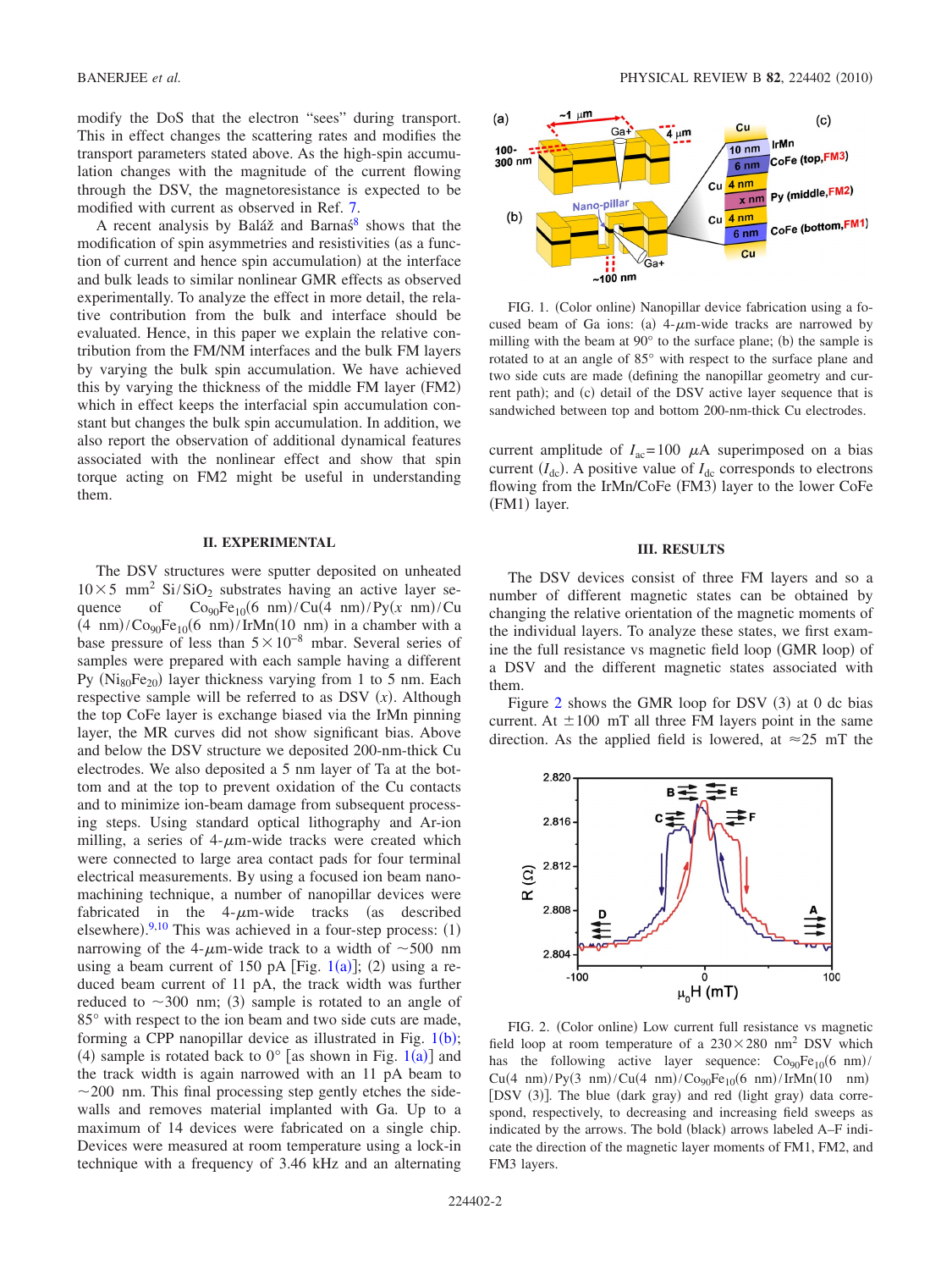modify the DoS that the electron "sees" during transport. This in effect changes the scattering rates and modifies the transport parameters stated above. As the high-spin accumulation changes with the magnitude of the current flowing through the DSV, the magnetoresistance is expected to be modified with current as observed in Ref. [7.](#page-6-6)

A recent analysis by Baláž and Barna $\zeta^8$  $\zeta^8$  shows that the modification of spin asymmetries and resistivities (as a function of current and hence spin accumulation) at the interface and bulk leads to similar nonlinear GMR effects as observed experimentally. To analyze the effect in more detail, the relative contribution from the bulk and interface should be evaluated. Hence, in this paper we explain the relative contribution from the FM/NM interfaces and the bulk FM layers by varying the bulk spin accumulation. We have achieved this by varying the thickness of the middle FM layer (FM2) which in effect keeps the interfacial spin accumulation constant but changes the bulk spin accumulation. In addition, we also report the observation of additional dynamical features associated with the nonlinear effect and show that spin torque acting on FM2 might be useful in understanding them.

#### **II. EXPERIMENTAL**

The DSV structures were sputter deposited on unheated  $10\times5$  mm<sup>2</sup> Si/SiO<sub>2</sub> substrates having an active layer sequence of Co<sub>90</sub>Fe<sub>10</sub>(6 nm)/Cu(4 nm)/Py(x nm)/Cu quence of  $Co_{90}Fe_{10}(6 \text{ nm})/Cu(4 \text{ nm})/Py(x \text{ nm})/Cu$  $(4 \text{ nm})$ / $\text{Co}_{90}\text{Fe}_{10}(6 \text{ nm})$ /IrMn $(10 \text{ nm})$  in a chamber with a base pressure of less than  $5\times10^{-8}$  mbar. Several series of samples were prepared with each sample having a different Py (Ni<sub>80</sub>Fe<sub>20</sub>) layer thickness varying from 1 to 5 nm. Each respective sample will be referred to as DSV  $(x)$ . Although the top CoFe layer is exchange biased via the IrMn pinning layer, the MR curves did not show significant bias. Above and below the DSV structure we deposited 200-nm-thick Cu electrodes. We also deposited a 5 nm layer of Ta at the bottom and at the top to prevent oxidation of the Cu contacts and to minimize ion-beam damage from subsequent processing steps. Using standard optical lithography and Ar-ion milling, a series of  $4-\mu m$ -wide tracks were created which were connected to large area contact pads for four terminal electrical measurements. By using a focused ion beam nanomachining technique, a number of nanopillar devices were fabricated in the  $4-\mu m$ -wide tracks (as described elsewhere). $9,10$  $9,10$  This was achieved in a four-step process: (1) narrowing of the 4- $\mu$ m-wide track to a width of  $\sim$  500 nm using a beam current of [1](#page-1-0)50 pA [Fig.  $1(a)$ ]; (2) using a reduced beam current of 11 pA, the track width was further reduced to  $\sim$ 300 nm; (3) sample is rotated to an angle of 85° with respect to the ion beam and two side cuts are made, forming a CPP nanopillar device as illustrated in Fig.  $1(b)$  $1(b)$ ; (4) sample is rotated back to  $0^{\circ}$  [as shown in Fig. [1](#page-1-0)(a)] and the track width is again narrowed with an 11 pA beam to  $\sim$ 200 nm. This final processing step gently etches the sidewalls and removes material implanted with Ga. Up to a maximum of 14 devices were fabricated on a single chip. Devices were measured at room temperature using a lock-in technique with a frequency of 3.46 kHz and an alternating

<span id="page-1-0"></span>

FIG. 1. (Color online) Nanopillar device fabrication using a focused beam of Ga ions: (a)  $4-\mu$ m-wide tracks are narrowed by milling with the beam at  $90^\circ$  to the surface plane; (b) the sample is rotated to at an angle of 85° with respect to the surface plane and two side cuts are made (defining the nanopillar geometry and current path); and (c) detail of the DSV active layer sequence that is sandwiched between top and bottom 200-nm-thick Cu electrodes.

current amplitude of  $I_{ac} = 100 \mu A$  superimposed on a bias current  $(I_{\text{dc}})$ . A positive value of  $I_{\text{dc}}$  corresponds to electrons flowing from the IrMn/CoFe (FM3) layer to the lower CoFe (FM1) layer.

#### **III. RESULTS**

The DSV devices consist of three FM layers and so a number of different magnetic states can be obtained by changing the relative orientation of the magnetic moments of the individual layers. To analyze these states, we first examine the full resistance vs magnetic field loop (GMR loop) of a DSV and the different magnetic states associated with them.

Figure  $2$  shows the GMR loop for DSV  $(3)$  at 0 dc bias current. At  $\pm 100$  mT all three FM layers point in the same direction. As the applied field is lowered, at  $\approx 25$  mT the

<span id="page-1-1"></span>

FIG. 2. (Color online) Low current full resistance vs magnetic field loop at room temperature of a  $230 \times 280$  nm<sup>2</sup> DSV which has the following active layer sequence:  $Co<sub>90</sub>Fe<sub>10</sub>(6 nm)$  $Cu(4 \ nm)/Py(3 \ nm)/Cu(4 \ nm)/Co<sub>90</sub>Fe<sub>10</sub>(6 \ nm)/IrMn(10 \ nm)$ [DSV (3)]. The blue (dark gray) and red (light gray) data correspond, respectively, to decreasing and increasing field sweeps as indicated by the arrows. The bold (black) arrows labeled A-F indicate the direction of the magnetic layer moments of FM1, FM2, and FM3 layers.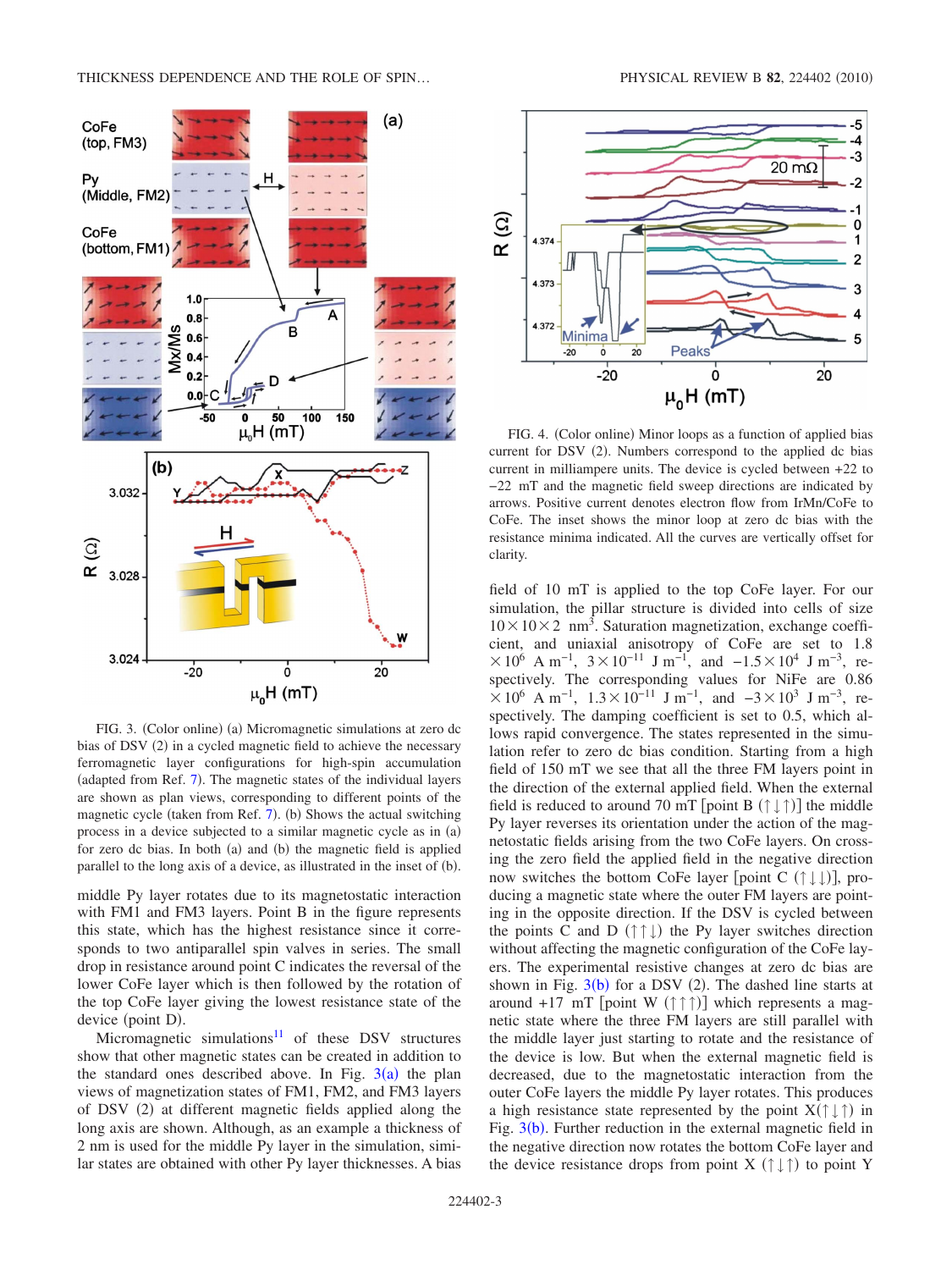<span id="page-2-0"></span>

FIG. 3. (Color online) (a) Micromagnetic simulations at zero dc bias of DSV (2) in a cycled magnetic field to achieve the necessary ferromagnetic layer configurations for high-spin accumulation (adapted from Ref. [7](#page-6-6)). The magnetic states of the individual layers are shown as plan views, corresponding to different points of the magnetic cycle (taken from Ref. [7](#page-6-6)). (b) Shows the actual switching process in a device subjected to a similar magnetic cycle as in (a) for zero dc bias. In both (a) and (b) the magnetic field is applied parallel to the long axis of a device, as illustrated in the inset of (b).

middle Py layer rotates due to its magnetostatic interaction with FM1 and FM3 layers. Point B in the figure represents this state, which has the highest resistance since it corresponds to two antiparallel spin valves in series. The small drop in resistance around point C indicates the reversal of the lower CoFe layer which is then followed by the rotation of the top CoFe layer giving the lowest resistance state of the device (point D).

Micromagnetic simulations $11$  of these DSV structures show that other magnetic states can be created in addition to the standard ones described above. In Fig.  $3(a)$  $3(a)$  the plan views of magnetization states of FM1, FM2, and FM3 layers of DSV (2) at different magnetic fields applied along the long axis are shown. Although, as an example a thickness of 2 nm is used for the middle Py layer in the simulation, similar states are obtained with other Py layer thicknesses. A bias

<span id="page-2-1"></span>

FIG. 4. (Color online) Minor loops as a function of applied bias current for DSV (2). Numbers correspond to the applied dc bias current in milliampere units. The device is cycled between +22 to −22 mT and the magnetic field sweep directions are indicated by arrows. Positive current denotes electron flow from IrMn/CoFe to CoFe. The inset shows the minor loop at zero dc bias with the resistance minima indicated. All the curves are vertically offset for clarity.

field of 10 mT is applied to the top CoFe layer. For our simulation, the pillar structure is divided into cells of size  $10\times10\times2$  nm<sup>3</sup>. Saturation magnetization, exchange coefficient, and uniaxial anisotropy of CoFe are set to 1.8  $\times 10^6$  A m<sup>-1</sup>,  $3\times 10^{-11}$  J m<sup>-1</sup>, and  $-1.5\times 10^4$  J m<sup>-3</sup>, respectively. The corresponding values for NiFe are 0.86  $\times 10^6$  A m<sup>-1</sup>,  $1.3 \times 10^{-11}$  J m<sup>-1</sup>, and  $-3 \times 10^3$  J m<sup>-3</sup>, respectively. The damping coefficient is set to 0.5, which allows rapid convergence. The states represented in the simulation refer to zero dc bias condition. Starting from a high field of 150 mT we see that all the three FM layers point in the direction of the external applied field. When the external field is reduced to around 70 mT [point B  $(\uparrow \downarrow \uparrow)$ ] the middle Py layer reverses its orientation under the action of the magnetostatic fields arising from the two CoFe layers. On crossing the zero field the applied field in the negative direction now switches the bottom CoFe layer [point C  $(\uparrow \downarrow \downarrow)$ ], producing a magnetic state where the outer FM layers are pointing in the opposite direction. If the DSV is cycled between the points C and D  $(\uparrow \uparrow \downarrow)$  the Py layer switches direction without affecting the magnetic configuration of the CoFe layers. The experimental resistive changes at zero dc bias are shown in Fig.  $3(b)$  $3(b)$  for a DSV (2). The dashed line starts at around  $+17$  mT [point W  $(\uparrow \uparrow \uparrow)$ ] which represents a magnetic state where the three FM layers are still parallel with the middle layer just starting to rotate and the resistance of the device is low. But when the external magnetic field is decreased, due to the magnetostatic interaction from the outer CoFe layers the middle Py layer rotates. This produces a high resistance state represented by the point  $X(\uparrow \downarrow \uparrow)$  in Fig.  $3(b)$  $3(b)$ . Further reduction in the external magnetic field in the negative direction now rotates the bottom CoFe layer and the device resistance drops from point  $X(\uparrow \downarrow \uparrow)$  to point Y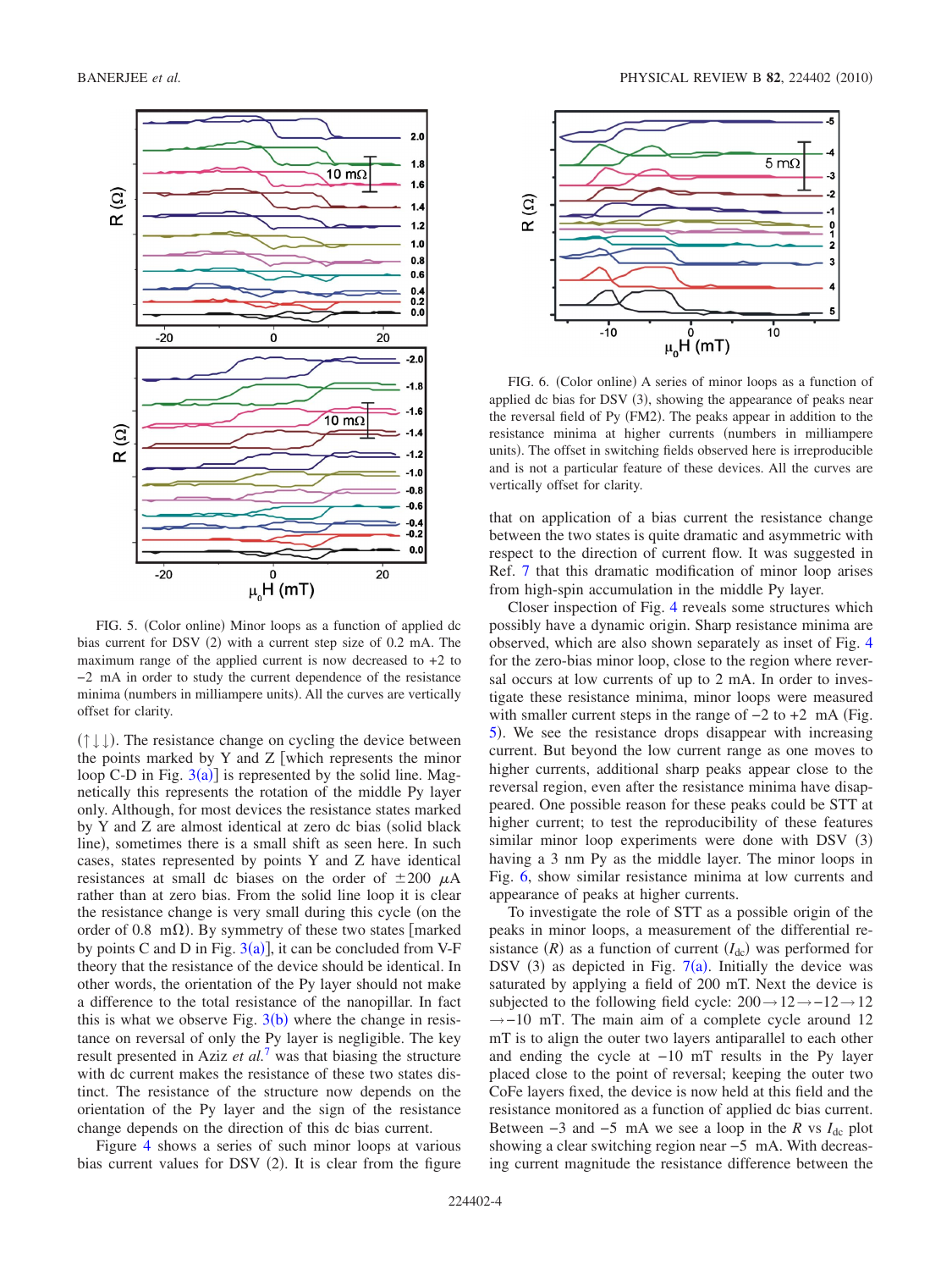<span id="page-3-0"></span>

FIG. 5. (Color online) Minor loops as a function of applied dc bias current for DSV (2) with a current step size of 0.2 mA. The maximum range of the applied current is now decreased to  $+2$  to −2 mA in order to study the current dependence of the resistance minima (numbers in milliampere units). All the curves are vertically offset for clarity.

 $($ |  $\downarrow$   $\downarrow$ ). The resistance change on cycling the device between the points marked by Y and Z [which represents the minor loop C-D in Fig.  $3(a)$  $3(a)$  is represented by the solid line. Magnetically this represents the rotation of the middle Py layer only. Although, for most devices the resistance states marked by Y and Z are almost identical at zero dc bias (solid black line), sometimes there is a small shift as seen here. In such cases, states represented by points Y and Z have identical resistances at small dc biases on the order of  $\pm 200 \mu A$ rather than at zero bias. From the solid line loop it is clear the resistance change is very small during this cycle (on the order of 0.8 m $\Omega$ ). By symmetry of these two states [marked by points C and D in Fig.  $3(a)$  $3(a)$ ], it can be concluded from V-F theory that the resistance of the device should be identical. In other words, the orientation of the Py layer should not make a difference to the total resistance of the nanopillar. In fact this is what we observe Fig.  $3(b)$  $3(b)$  where the change in resistance on reversal of only the Py layer is negligible. The key result presented in Aziz *et al.*[7](#page-6-6) was that biasing the structure with dc current makes the resistance of these two states distinct. The resistance of the structure now depends on the orientation of the Py layer and the sign of the resistance change depends on the direction of this dc bias current.

Figure [4](#page-2-1) shows a series of such minor loops at various bias current values for DSV (2). It is clear from the figure

<span id="page-3-1"></span>

FIG. 6. (Color online) A series of minor loops as a function of applied dc bias for DSV (3), showing the appearance of peaks near the reversal field of Py (FM2). The peaks appear in addition to the resistance minima at higher currents (numbers in milliampere units). The offset in switching fields observed here is irreproducible and is not a particular feature of these devices. All the curves are vertically offset for clarity.

that on application of a bias current the resistance change between the two states is quite dramatic and asymmetric with respect to the direction of current flow. It was suggested in Ref. [7](#page-6-6) that this dramatic modification of minor loop arises from high-spin accumulation in the middle Py layer.

Closer inspection of Fig. [4](#page-2-1) reveals some structures which possibly have a dynamic origin. Sharp resistance minima are observed, which are also shown separately as inset of Fig. [4](#page-2-1) for the zero-bias minor loop, close to the region where reversal occurs at low currents of up to 2 mA. In order to investigate these resistance minima, minor loops were measured with smaller current steps in the range of  $-2$  to  $+2$  mA (Fig. [5](#page-3-0)). We see the resistance drops disappear with increasing current. But beyond the low current range as one moves to higher currents, additional sharp peaks appear close to the reversal region, even after the resistance minima have disappeared. One possible reason for these peaks could be STT at higher current; to test the reproducibility of these features similar minor loop experiments were done with DSV (3) having a 3 nm Py as the middle layer. The minor loops in Fig. [6,](#page-3-1) show similar resistance minima at low currents and appearance of peaks at higher currents.

To investigate the role of STT as a possible origin of the peaks in minor loops, a measurement of the differential resistance  $(R)$  as a function of current  $(I_{dc})$  was performed for DSV (3) as depicted in Fig.  $7(a)$  $7(a)$ . Initially the device was saturated by applying a field of 200 mT. Next the device is subjected to the following field cycle: 200→12→−12→12  $\rightarrow$ −10 mT. The main aim of a complete cycle around 12 mT is to align the outer two layers antiparallel to each other and ending the cycle at −10 mT results in the Py layer placed close to the point of reversal; keeping the outer two CoFe layers fixed, the device is now held at this field and the resistance monitored as a function of applied dc bias current. Between  $-3$  and  $-5$  mA we see a loop in the *R* vs  $I_{dc}$  plot showing a clear switching region near −5 mA. With decreasing current magnitude the resistance difference between the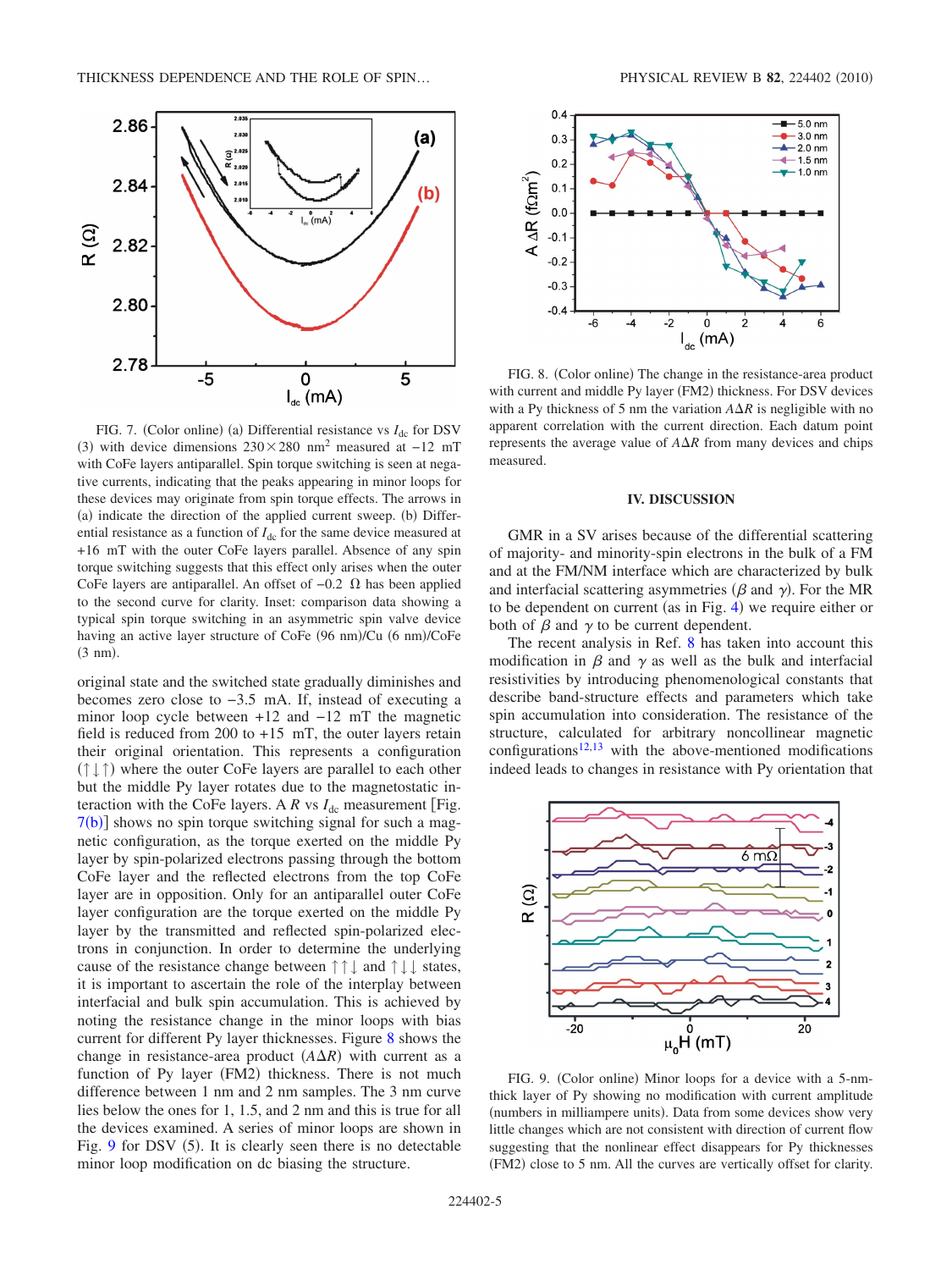<span id="page-4-0"></span>

FIG. 7. (Color online) (a) Differential resistance vs  $I_{dc}$  for DSV (3) with device dimensions  $230 \times 280$  nm<sup>2</sup> measured at  $-12$  mT with CoFe layers antiparallel. Spin torque switching is seen at negative currents, indicating that the peaks appearing in minor loops for these devices may originate from spin torque effects. The arrows in (a) indicate the direction of the applied current sweep. (b) Differential resistance as a function of  $I_{dc}$  for the same device measured at +16 mT with the outer CoFe layers parallel. Absence of any spin torque switching suggests that this effect only arises when the outer CoFe layers are antiparallel. An offset of  $-0.2 \Omega$  has been applied to the second curve for clarity. Inset: comparison data showing a typical spin torque switching in an asymmetric spin valve device having an active layer structure of CoFe (96 nm)/Cu (6 nm)/CoFe  $(3 \text{ nm})$ .

original state and the switched state gradually diminishes and becomes zero close to −3.5 mA. If, instead of executing a minor loop cycle between +12 and −12 mT the magnetic field is reduced from 200 to  $+15$  mT, the outer layers retain their original orientation. This represents a configuration  $($ | $\uparrow$   $\downarrow$   $\uparrow$ ) where the outer CoFe layers are parallel to each other but the middle Py layer rotates due to the magnetostatic interaction with the CoFe layers. A  $\dot{R}$  vs  $I_{dc}$  measurement [Fig.  $7(b)$  $7(b)$ ] shows no spin torque switching signal for such a magnetic configuration, as the torque exerted on the middle Py layer by spin-polarized electrons passing through the bottom CoFe layer and the reflected electrons from the top CoFe layer are in opposition. Only for an antiparallel outer CoFe layer configuration are the torque exerted on the middle Py layer by the transmitted and reflected spin-polarized electrons in conjunction. In order to determine the underlying cause of the resistance change between ↑↑↓ and ↑↓↓ states, it is important to ascertain the role of the interplay between interfacial and bulk spin accumulation. This is achieved by noting the resistance change in the minor loops with bias current for different Py layer thicknesses. Figure [8](#page-4-1) shows the change in resistance-area product  $(A\Delta R)$  with current as a function of Py layer (FM2) thickness. There is not much difference between 1 nm and 2 nm samples. The 3 nm curve lies below the ones for 1, 1.5, and 2 nm and this is true for all the devices examined. A series of minor loops are shown in Fig. [9](#page-4-2) for DSV (5). It is clearly seen there is no detectable minor loop modification on dc biasing the structure.

<span id="page-4-1"></span>

FIG. 8. (Color online) The change in the resistance-area product with current and middle Py layer (FM2) thickness. For DSV devices with a Py thickness of 5 nm the variation  $A\Delta R$  is negligible with no apparent correlation with the current direction. Each datum point represents the average value of  $A\Delta R$  from many devices and chips measured.

#### **IV. DISCUSSION**

GMR in a SV arises because of the differential scattering of majority- and minority-spin electrons in the bulk of a FM and at the FM/NM interface which are characterized by bulk and interfacial scattering asymmetries ( $\beta$  and  $\gamma$ ). For the MR to be dependent on current (as in Fig.  $4$ ) we require either or both of  $\beta$  and  $\gamma$  to be current dependent.

The recent analysis in Ref. [8](#page-6-7) has taken into account this modification in  $\beta$  and  $\gamma$  as well as the bulk and interfacial resistivities by introducing phenomenological constants that describe band-structure effects and parameters which take spin accumulation into consideration. The resistance of the structure, calculated for arbitrary noncollinear magnetic configurations<sup>12,[13](#page-6-12)</sup> with the above-mentioned modifications indeed leads to changes in resistance with Py orientation that

<span id="page-4-2"></span>

FIG. 9. (Color online) Minor loops for a device with a 5-nmthick layer of Py showing no modification with current amplitude (numbers in milliampere units). Data from some devices show very little changes which are not consistent with direction of current flow suggesting that the nonlinear effect disappears for Py thicknesses (FM2) close to 5 nm. All the curves are vertically offset for clarity.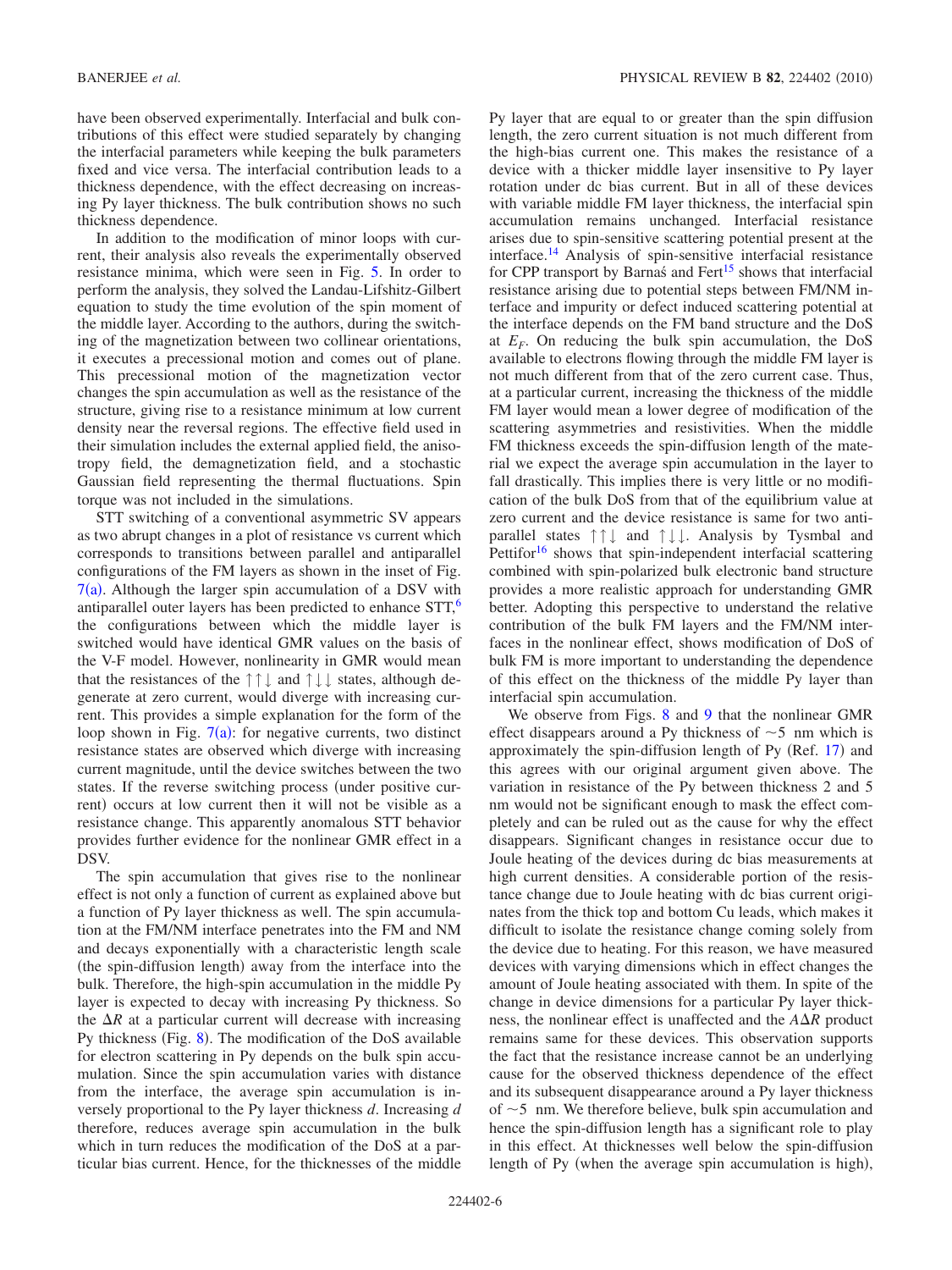have been observed experimentally. Interfacial and bulk contributions of this effect were studied separately by changing the interfacial parameters while keeping the bulk parameters fixed and vice versa. The interfacial contribution leads to a thickness dependence, with the effect decreasing on increasing Py layer thickness. The bulk contribution shows no such thickness dependence.

In addition to the modification of minor loops with current, their analysis also reveals the experimentally observed resistance minima, which were seen in Fig. [5.](#page-3-0) In order to perform the analysis, they solved the Landau-Lifshitz-Gilbert equation to study the time evolution of the spin moment of the middle layer. According to the authors, during the switching of the magnetization between two collinear orientations, it executes a precessional motion and comes out of plane. This precessional motion of the magnetization vector changes the spin accumulation as well as the resistance of the structure, giving rise to a resistance minimum at low current density near the reversal regions. The effective field used in their simulation includes the external applied field, the anisotropy field, the demagnetization field, and a stochastic Gaussian field representing the thermal fluctuations. Spin torque was not included in the simulations.

STT switching of a conventional asymmetric SV appears as two abrupt changes in a plot of resistance vs current which corresponds to transitions between parallel and antiparallel configurations of the FM layers as shown in the inset of Fig.  $7(a)$  $7(a)$ . Although the larger spin accumulation of a DSV with antiparallel outer layers has been predicted to enhance  $STT$ ,<sup>6</sup> the configurations between which the middle layer is switched would have identical GMR values on the basis of the V-F model. However, nonlinearity in GMR would mean that the resistances of the  $\uparrow \uparrow \downarrow$  and  $\uparrow \downarrow \downarrow$  states, although degenerate at zero current, would diverge with increasing current. This provides a simple explanation for the form of the loop shown in Fig.  $7(a)$  $7(a)$ : for negative currents, two distinct resistance states are observed which diverge with increasing current magnitude, until the device switches between the two states. If the reverse switching process (under positive current) occurs at low current then it will not be visible as a resistance change. This apparently anomalous STT behavior provides further evidence for the nonlinear GMR effect in a DSV.

The spin accumulation that gives rise to the nonlinear effect is not only a function of current as explained above but a function of Py layer thickness as well. The spin accumulation at the FM/NM interface penetrates into the FM and NM and decays exponentially with a characteristic length scale (the spin-diffusion length) away from the interface into the bulk. Therefore, the high-spin accumulation in the middle Py layer is expected to decay with increasing Py thickness. So the  $\Delta R$  at a particular current will decrease with increasing Py thickness (Fig. [8](#page-4-1)). The modification of the DoS available for electron scattering in Py depends on the bulk spin accumulation. Since the spin accumulation varies with distance from the interface, the average spin accumulation is inversely proportional to the Py layer thickness *d*. Increasing *d* therefore, reduces average spin accumulation in the bulk which in turn reduces the modification of the DoS at a particular bias current. Hence, for the thicknesses of the middle Py layer that are equal to or greater than the spin diffusion length, the zero current situation is not much different from the high-bias current one. This makes the resistance of a device with a thicker middle layer insensitive to Py layer rotation under dc bias current. But in all of these devices with variable middle FM layer thickness, the interfacial spin accumulation remains unchanged. Interfacial resistance arises due to spin-sensitive scattering potential present at the interface[.14](#page-6-13) Analysis of spin-sensitive interfacial resistance for CPP transport by Barnaś and Fert $^{15}$  shows that interfacial resistance arising due to potential steps between FM/NM interface and impurity or defect induced scattering potential at the interface depends on the FM band structure and the DoS at  $E_F$ . On reducing the bulk spin accumulation, the DoS available to electrons flowing through the middle FM layer is not much different from that of the zero current case. Thus, at a particular current, increasing the thickness of the middle FM layer would mean a lower degree of modification of the scattering asymmetries and resistivities. When the middle FM thickness exceeds the spin-diffusion length of the material we expect the average spin accumulation in the layer to fall drastically. This implies there is very little or no modification of the bulk DoS from that of the equilibrium value at zero current and the device resistance is same for two antiparallel states ↑↑↓ and ↑↓↓. Analysis by Tysmbal and Pettifor $16$  shows that spin-independent interfacial scattering combined with spin-polarized bulk electronic band structure provides a more realistic approach for understanding GMR better. Adopting this perspective to understand the relative contribution of the bulk FM layers and the FM/NM interfaces in the nonlinear effect, shows modification of DoS of bulk FM is more important to understanding the dependence of this effect on the thickness of the middle Py layer than interfacial spin accumulation.

We observe from Figs. [8](#page-4-1) and [9](#page-4-2) that the nonlinear GMR effect disappears around a Py thickness of  $\sim$  5 nm which is approximately the spin-diffusion length of Py (Ref. [17](#page-6-16)) and this agrees with our original argument given above. The variation in resistance of the Py between thickness 2 and 5 nm would not be significant enough to mask the effect completely and can be ruled out as the cause for why the effect disappears. Significant changes in resistance occur due to Joule heating of the devices during dc bias measurements at high current densities. A considerable portion of the resistance change due to Joule heating with dc bias current originates from the thick top and bottom Cu leads, which makes it difficult to isolate the resistance change coming solely from the device due to heating. For this reason, we have measured devices with varying dimensions which in effect changes the amount of Joule heating associated with them. In spite of the change in device dimensions for a particular Py layer thickness, the nonlinear effect is unaffected and the  $A\Delta R$  product remains same for these devices. This observation supports the fact that the resistance increase cannot be an underlying cause for the observed thickness dependence of the effect and its subsequent disappearance around a Py layer thickness of  $\sim$  5 nm. We therefore believe, bulk spin accumulation and hence the spin-diffusion length has a significant role to play in this effect. At thicknesses well below the spin-diffusion length of Py (when the average spin accumulation is high),